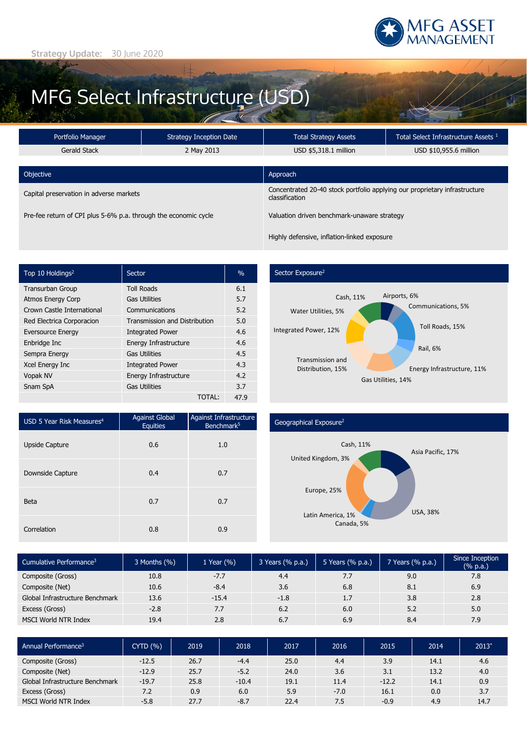

# MFG Select Infrastructure (USD)

| Portfolio Manager                                               | <b>Strategy Inception Date</b> | <b>Total Strategy Assets</b>                                                                 | Total Select Infrastructure Assets <sup>1</sup> |  |  |
|-----------------------------------------------------------------|--------------------------------|----------------------------------------------------------------------------------------------|-------------------------------------------------|--|--|
| Gerald Stack                                                    | 2 May 2013                     | USD \$5,318.1 million                                                                        | USD \$10,955.6 million                          |  |  |
| Objective                                                       |                                | Approach                                                                                     |                                                 |  |  |
| Capital preservation in adverse markets                         |                                | Concentrated 20-40 stock portfolio applying our proprietary infrastructure<br>classification |                                                 |  |  |
| Pre-fee return of CPI plus 5-6% p.a. through the economic cycle |                                | Valuation driven benchmark-unaware strategy                                                  |                                                 |  |  |
|                                                                 |                                | Highly defensive, inflation-linked exposure                                                  |                                                 |  |  |

| Top 10 Holdings <sup>2</sup> | Sector                               | $\%$ |
|------------------------------|--------------------------------------|------|
| <b>Transurban Group</b>      | <b>Toll Roads</b>                    | 6.1  |
| <b>Atmos Energy Corp</b>     | <b>Gas Utilities</b>                 | 5.7  |
| Crown Castle International   | Communications                       | 5.2  |
| Red Electrica Corporacion    | <b>Transmission and Distribution</b> | 5.0  |
| <b>Eversource Energy</b>     | <b>Integrated Power</b>              | 4.6  |
| Enbridge Inc                 | Energy Infrastructure                | 4.6  |
| Sempra Energy                | <b>Gas Utilities</b>                 | 4.5  |
| Xcel Energy Inc              | <b>Integrated Power</b>              | 4.3  |
| Vopak NV                     | Energy Infrastructure                | 4.2  |
| Snam SpA                     | <b>Gas Utilities</b>                 | 3.7  |
|                              | TOTAL:                               | 47.9 |

### Sector Exposure<sup>2</sup>



| USD 5 Year Risk Measures <sup>4</sup> | <b>Against Global</b><br><b>Equities</b> | Against Infrastructure<br>Benchmark <sup>5</sup> |
|---------------------------------------|------------------------------------------|--------------------------------------------------|
| Upside Capture                        | 0.6                                      | 1.0                                              |
| Downside Capture                      | 0.4                                      | 0.7                                              |
| Beta                                  | 0.7                                      | 0.7                                              |
| Correlation                           | 0.8                                      | 0.9                                              |

## Geographical Exposure2



| Cumulative Performance <sup>3</sup> | 3 Months $(\%)$ | 1 Year (%) | 3 Years (% p.a.) | 5 Years (% p.a.) | 7 Years (% p.a.) | Since Inception<br>$(% \mathbb{R}^2)$ (% p.a.) |
|-------------------------------------|-----------------|------------|------------------|------------------|------------------|------------------------------------------------|
| Composite (Gross)                   | 10.8            | $-7.7$     | 4.4              | 7.7              | 9.0              | 7.8                                            |
| Composite (Net)                     | 10.6            | $-8.4$     | 3.6              | 6.8              | 8.1              | 6.9                                            |
| Global Infrastructure Benchmark     | 13.6            | $-15.4$    | $-1.8$           | 1.7              | 3.8              | 2.8                                            |
| Excess (Gross)                      | $-2.8$          | 7.7        | 6.2              | 6.0              | 5.2              | 5.0                                            |
| MSCI World NTR Index                | 19.4            | 2.8        | 6.7              | 6.9              | 8.4              | 7.9                                            |

| Annual Performance <sup>3</sup> | CYTD(% ) | 2019 | 2018    | 2017 | 2016   | 2015    | 2014 | $2013*$ |
|---------------------------------|----------|------|---------|------|--------|---------|------|---------|
| Composite (Gross)               | $-12.5$  | 26.7 | $-4.4$  | 25.0 | 4.4    | 3.9     | 14.1 | 4.6     |
| Composite (Net)                 | $-12.9$  | 25.7 | $-5.2$  | 24.0 | 3.6    | 3.1     | 13.2 | 4.0     |
| Global Infrastructure Benchmark | $-19.7$  | 25.8 | $-10.4$ | 19.1 | 11.4   | $-12.2$ | 14.1 | 0.9     |
| Excess (Gross)                  | 7.2      | 0.9  | 6.0     | 5.9  | $-7.0$ | 16.1    | 0.0  | 3.7     |
| MSCI World NTR Index            | $-5.8$   | 27.7 | $-8.7$  | 22.4 | 7.5    | $-0.9$  | 4.9  | 14.7    |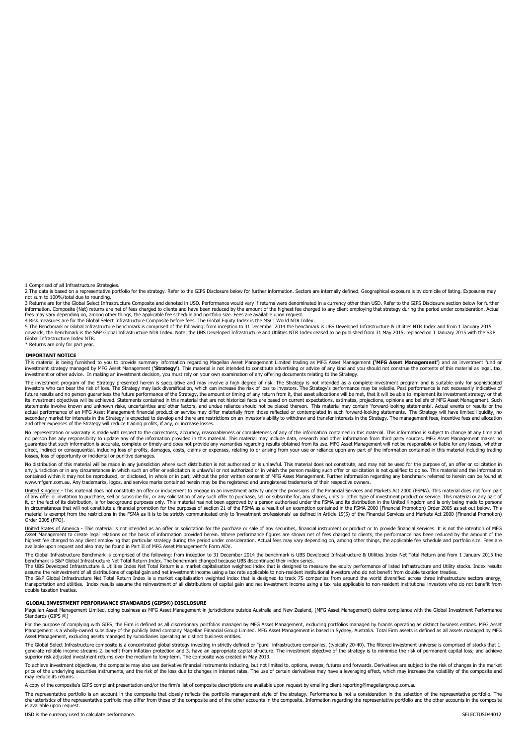1 Comprised of all Infrastructure Strategies.

2 The data is based on a representative portfolio for the strategy. Refer to the GIPS Disclosure below for further information. Sectors are internally defined. Geographical exposure is by domicile of listing. Exposures may not sum to 100%/total due to rounding.

3 Returns are for the Global Select Infrastructure Composite and denoted in USD. Performance would vary if returns were denominated in a currency other than USD. Refer to the GIPS Disclosure section below for further information. Composite (Net) returns are net of fees charged to clients and have been reduced by the amount of the highest fee charged to any client employing that strategy during the period under consideration. Actual

tees may vary depending on, among other things, the applicable tee schedule and porttolio size. Fees are available upon request.<br>4 Risk measures are for the Global Select Infrastructure Composite before fees. The Global Eq

5 The Benchmark or Global Infrastructure benchmark is comprised of the following: from inception to 31 December 2014 the benchmark is UBS Developed Infrastructure & Utilities NTR Index and from 1 January 2015<br>onwards, the Global Infrastructure Index NTR.

Returns are only for part year.

#### **IMPORTANT NOTICE**

This material is being furnished to you to provide summary information regarding Magellan Asset Managementh Limited trading as MFG Asset Management (**'MFG Asset Management'**) and an investment fund or<br>investment strategy m investment or other advice. In making an investment decision, you must rely on your own examination of any offering documents relating to the Strategy.

The investment program of the Strategy presented herein is speculative and may involve a high degree of risk. The Strategy is not intended as a complete investment program and is suitable only for sophisticated investors who can bear the risk of loss. The Strategy may lack diversification, which can increase the risk of loss to investors. The Strategy's performance may be volatile. Past performance is not necessarily indicative o future results and no person guarantees the future performance of the Strategy, the amount or timing of any return from it, that asset allocations will be met, that it will be able to implement its investment strategy or t statements involve known and unknown risks, uncertainties and other factors, and undue reliance should not be placed thereon. This material may contain 'forward-looking statements'. Actual events or results or the actual performance of an MFG Asset Management financial product or service may differ materially from those reflected or contemplated in such forward-looking statements. The Strategy will have limited liquidity, no<br>seconda and other expenses of the Strategy will reduce trading profits, if any, or increase losses.

No representation or warranty is made with respect to the correctness, accuracy, reasonableness or completeness of any of the information contained in this material. This information is subject to change at any time and no person has any responsibility to update any of the information provided in this material. This material may include data, research and other information from third party sources. MFG Asset Management makes no<br>guarantee losses, loss of opportunity or incidental or punitive damages.

No distribution of this material will be made in any jurisdiction where such distribution is not authorised or is unlawful. This material does not constitute, and may not be used for the purpose of, an offer or solicitatio contained within it may not be reproduced, or disclosed, in whole or in part, without the prior written consent of MFG Asset Management. Further information regarding any benchmark referred to herein can be found at www.mfgam.com.au. Any trademarks, logos, and service marks contained herein may be the registered and unregistered trademarks of their respective owners.

<u>United Kingdom</u> - This material does not constitute an offer or inducement to engage in an investment activity under the provisions of the Financial Services and Markets Act 2000 (FSMA). This material does not form part<br>o in circumstances that will not constitute a financial promotion for the purposes of section 21 of the FSMA as a result of an exemption contained in the FSMA 2000 (Financial Promotion) Order 2005 as set out below. This<br>mate

<u>United States of America</u> - This material is not intended as an offer or solicitation for the purchase or sale of any securities, financial instrument or product or to provide financial services. It is not the intention o available upon request and also may be found in Part II of MFG Asset Management's Form ADV.

The Global Infrastructure Benchmark is comprised of the following: from inception to 31 December 2014 the benchmark is UBS Developed Infrastructure & Utilities Index Net Total Return and from 1 January 2015 the benchmark is S&P Global Infrastructure Net Total Return Index. The benchmark changed because UBS discontinued their index series.<br>The UBS Developed Infrastructure & Utilities Index Net Total Return is a market capitalisati

assume the reinvestment of all distributions of capital gain and net investment income using a tax rate applicable to non-resident institutional investors who do not benefit from double taxation treaties.<br>The S&P Global In double taxation treaties.

#### **GLOBAL INVESTMENT PERFORMANCE STANDARDS (GIPS®) DISCLOSURE**

Magellan Asset Management Limited, doing business as MFG Asset Management in jurisdictions outside Australia and New Zealand, (MFG Asset Management) claims compliance with the Global Investment Performance Standards (GIPS ®)

For the purpose of complying with GIPS, the Firm is defined as all discretionary portfolios managed by MFG Asset Management, excluding portfolios managed by brands operating as distinct business entities. MFG Asset Management is a wholly-owned subsidiary of the publicly listed company Magellan Financial Group Limited. MFG Asset Management is based in Sydney, Australia. Total Firm assets is defined as all assets managed by MFG Asset Management, excluding assets managed by subsidiaries operating as distinct business entities.

The Global Select Infrastructure composite is a concentrated global strategy investing in strictly defined or "pure" infrastructure companies, (typically 20-40). The filtered investment universe is comprised of stocks that generate reliable income streams 2. benefit from inflation protection and 3. have an appropriate capital structure. The investment objective of the strategy is to minimise the risk of permanent capital loss; and achieve<br>su

To achieve investment objectives, the composite may also use derivative financial instruments including, but not limited to, options, swaps, futures and forwards. Derivatives are subject to the risk of changes in the marke may reduce its returns.

A copy of the composite's GIPS compliant presentation and/or the firm's list of composite descriptions are available upon request by emailing client.reporting@magellangroup.com.au

The representative portfolio is an account in the composite that closely reflects the portfolio management style of the strategy. Performance is not a consideration in the selection of the representative portfolio. The characteristics of the representative portfolio may differ from those of the composite and of the other accounts in the composite. Information regarding the representative portfolio and the other accounts in the composite is available upon request.